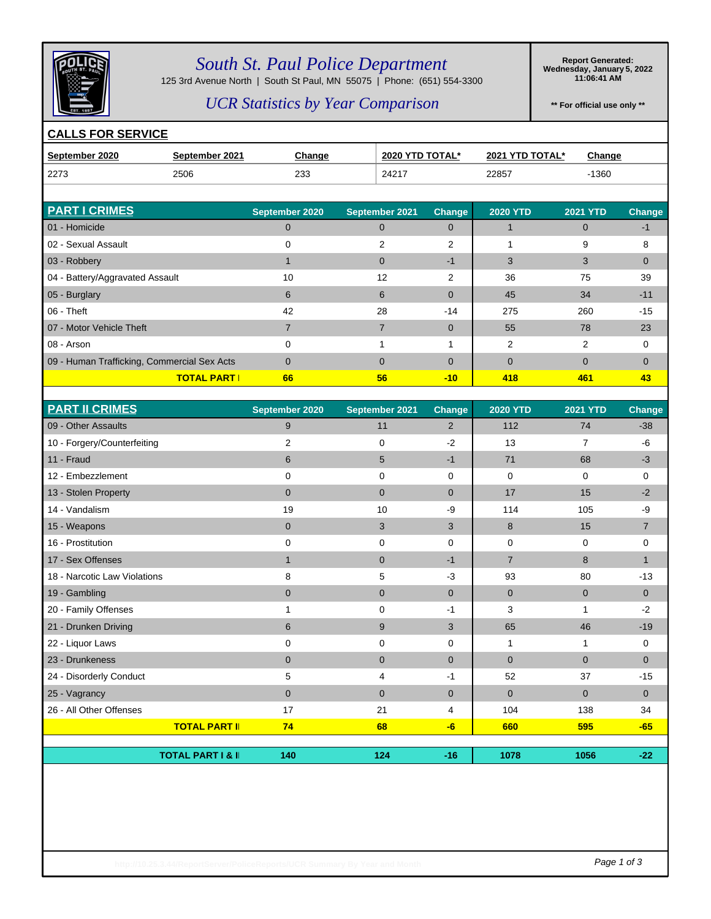

### *South St. Paul Police Department*

125 3rd Avenue North | South St Paul, MN 55075 | Phone: (651) 554-3300

**Report Generated: Wednesday, January 5, 2022 11:06:41 AM**

### *UCR Statistics by Year Comparison*

**\*\* For official use only \*\***

#### **CALLS FOR SERVICE**

| September 2020                  | September 2021 | <b>Change</b>  | 2020 YTD TOTAL* |               | 2021 YTD TOTAL* |                 | <b>Change</b> |
|---------------------------------|----------------|----------------|-----------------|---------------|-----------------|-----------------|---------------|
| 2273                            | 2506           | 233            | 24217           |               | 22857           |                 | $-1360$       |
|                                 |                |                |                 |               |                 |                 |               |
| <b>PART I CRIMES</b>            |                | September 2020 | September 2021  | <b>Change</b> | <b>2020 YTD</b> | <b>2021 YTD</b> | Change        |
| 01 - Homicide                   |                | 0              | $\Omega$        | 0             |                 | 0               | -1            |
| 02 - Sexual Assault             |                |                | 2               | 2             |                 | 9               | 8             |
| 03 - Robbery                    |                |                | $\Omega$        | $-1$          | 3               |                 | $\mathbf 0$   |
| 04 - Battery/Aggravated Assault |                | 10             | 12              | ົ             | 36              | 75              | 39            |

| <b>FANTI UNIVILO</b>                        | September 2020 | <b>September ZUZT</b> | <b>Unange</b> | ZUZU TI D   | ZUZI TID | ∪nange   |
|---------------------------------------------|----------------|-----------------------|---------------|-------------|----------|----------|
| 01 - Homicide                               |                |                       | $\Omega$      |             | O        | $-1$     |
| 02 - Sexual Assault                         |                | 2                     | 2             |             | 9        | 8        |
| 03 - Robbery                                |                | $\Omega$              | -1            | 3           | 3        | $\Omega$ |
| 04 - Battery/Aggravated Assault             | 10             | 12                    | 2             | 36          | 75       | 39       |
| 05 - Burglary                               | 6              | 6                     | $\mathbf{0}$  | 45          | 34       | $-11$    |
| $06 - Theft$                                | 42             | 28                    | $-14$         | 275         | 260      | $-15$    |
| 07 - Motor Vehicle Theft                    |                |                       | $\mathbf{0}$  | 55          | 78       | 23       |
| 08 - Arson                                  | $\Omega$       |                       |               | 2           | 2        | $\Omega$ |
| 09 - Human Trafficking, Commercial Sex Acts |                | $\Omega$              | $\mathbf{0}$  | $\mathbf 0$ | $\Omega$ | $\Omega$ |
| <b>TOTAL PART I</b>                         | 66             | 56                    | $-10$         | 418         | 461      | 43       |
|                                             |                |                       |               |             |          |          |

| <b>PART II CRIMES</b>        | September 2020 | September 2021 | Change         | <b>2020 YTD</b> | <b>2021 YTD</b> | Change         |
|------------------------------|----------------|----------------|----------------|-----------------|-----------------|----------------|
| 09 - Other Assaults          | 9              | 11             | 2              | 112             | 74              | $-38$          |
| 10 - Forgery/Counterfeiting  | $\overline{2}$ | $\mathbf 0$    | $-2$           | 13              | $\overline{7}$  | $-6$           |
| 11 - Fraud                   | 6              | 5              | $-1$           | 71              | 68              | $-3$           |
| 12 - Embezzlement            | 0              | 0              | $\mathbf 0$    | 0               | $\Omega$        | 0              |
| 13 - Stolen Property         | $\mathbf{0}$   | $\mathbf{0}$   | $\overline{0}$ | 17              | 15              | $-2$           |
| 14 - Vandalism               | 19             | 10             | -9             | 114             | 105             | -9             |
| 15 - Weapons                 | $\mathbf 0$    | 3              | 3              | 8               | 15              | $\overline{7}$ |
| 16 - Prostitution            | 0              | $\mathbf 0$    | $\Omega$       | 0               | 0               | 0              |
| 17 - Sex Offenses            | $\mathbf{1}$   | $\mathbf 0$    | $-1$           | $\overline{7}$  | 8               | $\mathbf{1}$   |
| 18 - Narcotic Law Violations | 8              | 5              | $-3$           | 93              | 80              | $-13$          |
| 19 - Gambling                | $\mathbf 0$    | $\mathbf 0$    | $\overline{0}$ | $\overline{0}$  | $\mathbf{0}$    | $\overline{0}$ |
| 20 - Family Offenses         |                | 0              | -1             | 3               |                 | $-2$           |
| 21 - Drunken Driving         | 6              | 9              | 3              | 65              | 46              | $-19$          |
| 22 - Liquor Laws             | 0              | 0              | 0              | 1               | 1               | 0              |
| 23 - Drunkeness              | $\mathbf 0$    | $\mathbf 0$    | $\Omega$       | $\overline{0}$  | $\mathbf{0}$    | $\mathbf{0}$   |
| 24 - Disorderly Conduct      | 5              | 4              | -1             | 52              | 37              | $-15$          |
| 25 - Vagrancy                | $\mathbf{0}$   | $\mathbf{0}$   | $\mathbf{0}$   | $\mathbf{0}$    | $\mathbf{0}$    | $\mathbf{0}$   |
| 26 - All Other Offenses      | 17             | 21             | 4              | 104             | 138             | 34             |
| <b>TOTAL PART II</b>         | 74             | 68             | $-6$           | 660             | 595             | $-65$          |
|                              |                |                |                |                 |                 |                |
| <b>TOTAL PART I &amp; II</b> | 140            | 124            | $-16$          | 1078            | 1056            | $-22$          |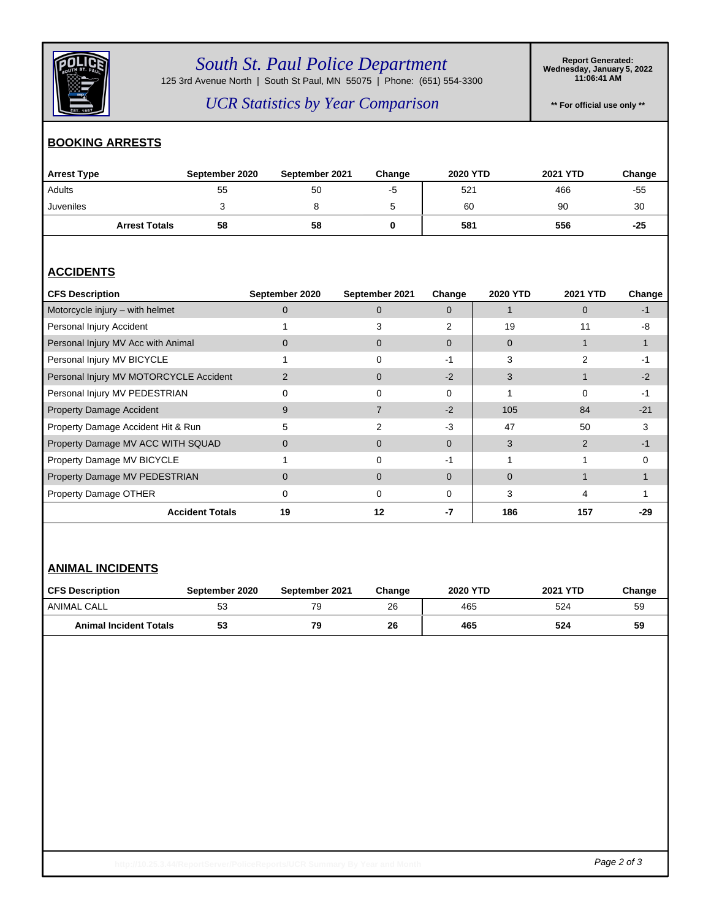

## *South St. Paul Police Department*

125 3rd Avenue North | South St Paul, MN 55075 | Phone: (651) 554-3300

**Report Generated: Wednesday, January 5, 2022 11:06:41 AM**

*UCR Statistics by Year Comparison*

**\*\* For official use only \*\***

#### **BOOKING ARRESTS**

| <b>Arrest Type</b>   | September 2020 | September 2021 | Change | <b>2020 YTD</b> | <b>2021 YTD</b> | Change |
|----------------------|----------------|----------------|--------|-----------------|-----------------|--------|
| Adults               | 55             | 50             | -5     | 521             | 466             | $-55$  |
| Juveniles            | ັ              |                | ັ      | 60              | 90              | 30     |
| <b>Arrest Totals</b> | 58             | 58             |        | 581             | 556             | $-25$  |

### **ACCIDENTS**

| <b>CFS Description</b>                 | September 2020 | September 2021 | Change        | <b>2020 YTD</b> | <b>2021 YTD</b> | Change       |
|----------------------------------------|----------------|----------------|---------------|-----------------|-----------------|--------------|
| Motorcycle injury - with helmet        |                | $\Omega$       | $\Omega$      |                 | 0               | -1           |
| Personal Injury Accident               |                |                | $\mathcal{P}$ | 19              | 11              | -8           |
| Personal Injury MV Acc with Animal     | 0              | 0              | $\Omega$      | 0               |                 |              |
| Personal Injury MV BICYCLE             |                |                | -1            | 3               |                 |              |
| Personal Injury MV MOTORCYCLE Accident |                | $\Omega$       | $-2$          | 3               |                 | $-2$         |
| Personal Injury MV PEDESTRIAN          |                | 0              | $\Omega$      |                 | 0               | -1           |
| <b>Property Damage Accident</b>        | 9              |                | $-2$          | 105             | 84              | $-21$        |
| Property Damage Accident Hit & Run     | 5              | $\mathcal{P}$  | -3            | 47              | 50              | 3            |
| Property Damage MV ACC WITH SQUAD      | 0              | $\Omega$       | $\Omega$      | 3               | $\mathcal{P}$   | -1           |
| Property Damage MV BICYCLE             |                | 0              | -1            |                 |                 | <sup>0</sup> |
| Property Damage MV PEDESTRIAN          | 0              | $\Omega$       | $\Omega$      | 0               |                 |              |
| Property Damage OTHER                  | 0              | 0              | 0             | 3               | 4               |              |
| <b>Accident Totals</b>                 | 19             | 12             | -7            | 186             | 157             | -29          |

#### **ANIMAL INCIDENTS**

| <b>CFS Description</b>        | September 2020 | September 2021 | Change | <b>2020 YTD</b> | <b>2021 YTD</b> | Change |
|-------------------------------|----------------|----------------|--------|-----------------|-----------------|--------|
| ANIMAL CALL                   | 53             |                | 26     | 465             | 524             | 59     |
| <b>Animal Incident Totals</b> | 53             | 79             | 26     | 465             | 524             | 59     |